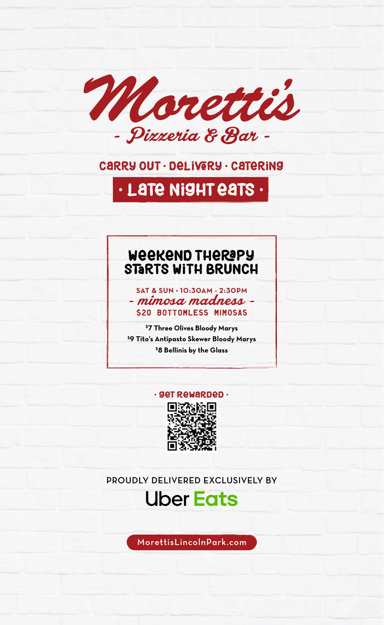

### carry out • delivery • catering

## • Late night eatS •

### Weekend THERAPY STARTS WITH BRUNCH

**SAT & SUN • 10:30AM - 2:30PM** - mimosa madness - \$20 BOTTOMLESS MIMOSAS

**\$7 Three Olives Bloody Marys \$ 9 Tito's Antipasto Skewer Bloody Marys \$8 Bellinis by the Glass**

### • get rewarded •



PROUDLY DELIVERED EXCLUSIVELY BY

## **Uber Eats**

MorettisLincolnPark.com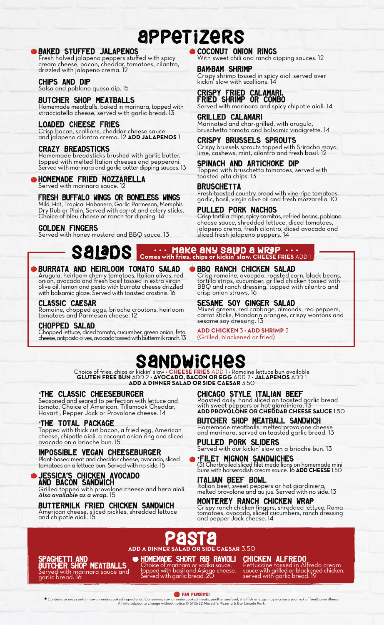## appet izerS

#### BAKED STUFFED JALAPENOS

Fresh halved jalapeno peppers stuffed with spicy cream cheese, bacon, cheddar, tomatoes, cilantro, drizzled with jalapeno crema. 12

#### CHIPS AND DIP

Salsa and poblano queso dip. 15

#### BUTCHER SHOP MEATBALLS

Homemade meatballs, baked in marinara, topped with stracciatella cheese, served with garlic bread. 13

#### LOADED CHEESE FRIES

Crisp bacon, scallions, cheddar cheese sauce and jalapeno cilantro crema. 12 **ADD JALAPENOS** 1

#### CRAZY BREADSTICKS

Homemade breadsticks brushed with garlic butter, topped with melted Italian cheeses and pepperoni. Served with marinara and garlic butter dipping sauces. 13

#### HOMEMADE FRIED MOZZARELLA

Served with marinara sauce. 12

#### FRESH BUFFALO WINGS OR BONELESS WINGS

Mild, Hot, Tropical Habanero, Garlic Parmesan, Memphis Dry Rub or Plain. Served with carrot and celery sticks. Choice of bleu cheese or ranch for dipping. 14

#### GOLDEN FINGERS

Served with honey mustard and BBQ sauce. 13

### COCONUT ONION RINGS

ith sweet chili and ranch dipping sauces. 12

BAM-BAM SHRIMP Crispy shrimp tossed in spicy aioli served over kickin' slaw with scallions. 14

#### CRISPY FRIED CALAMARI, FRIED SHRIMP OR COMBO

Served with marinara and spicy chipotle aioli. 14

#### GRILLED CALAMARI Marinated and char-grilled, with arugula, bruschetta tomato and balsamic vinaigrette. 14

CRISPY BRUSSELS SPROUTS Crispy brussels sprouts topped with Sriracha mayo, lime, cashews, mint, cilantro and fresh basil. 12

SPINACH AND ARTICHOKE DIP Topped with bruschetta tomatoes, served with toasted pita chips. 13

#### **BRUSCHETTA**

Fresh-toasted country bread with vine-ripe tomatoes, garlic, basil, virgin olive oil and fresh mozzarella. 10

#### PULLED PORK NACHOS

Crisp tortilla chips, spicy carnitas, refried beans, poblano cheese sauce, shredded lettuce, diced tomatoes, jalapeno crema, fresh cilantro, diced avocado and sliced fresh jalapeno peppers. 14

## SaladS **Comes with fries, chips or kickin' slaw. CHEESE FRIES ADD 1**

#### BURRATA AND HEIRLOOM TOMATO SALAD

Arugula, heirloom cherry tomatoes, Italian olives, red onion, avocado and fresh basil tossed in extra virgin olive oil, lemon and pesto with burrata cheese drizzled with balsamic glaze. Served with toasted crostinis. 16

#### CLASSIC CAESAR

Romaine, chopped eggs, brioche croutons, heirloom tomatoes and Parmesan cheese. 12

#### CHOPPED SALAD

Chopped lettuce, diced tomato, cucumber, green onion, feta cheese, antipasto olives, avocado tossed with buttermilk ranch. 13

#### BBQ RANCH CHICKEN SALAD

Crisp romaine, avocado, roasted corn, black beans, tortilla strips, cucumber, grilled chicken tossed with BBQ and ranch dressing, topped with cilantro and crisp onion straws. 16

#### SESAME SOY GINGER SALAD

Mixed greens, red cabbage, almonds, red peppers, carrot sticks, Mandarin oranges, crispy wontons and sesame soy dressing. 13

**ADD CHICKEN** 3 **• ADD SHRIMP** 5 (Grilled, blackened or fried)

## sandwiches

Choice of fries, chips or kickin' slaw • **CHEESE FRIES** ADD 1 • Romaine lettuce bun available **GLUTEN FREE BUN** ADD 2 • **AVOCADO, BACON OR EGG** ADD 2 • **JALAPENOS** ADD 1 **ADD A DINNER SALAD OR SIDE CAESAR** 3.50

#### \*THE CLASSIC CHEESEBURGER

Seasoned and seared to perfection with lettuce and tomato. Choice of American, Tillamook Cheddar, Havarti, Pepper Jack or Provolone cheese. 14

#### \*THE TOTAL PACKAGE

Topped with thick cut bacon, a fried egg, American cheese, chipotle aioli, a coconut onion ring and sliced avocado on a brioche bun. 15

#### IMPOSSIBLE VEGAN CHEESEBURGER

Plant-based meat and cheddar cheese, avocado, sliced tomatoes on a lettuce bun. Served with no side. 15

#### JESSICA'S CHICKEN AVOCADO AND BACON SANDWICH

Grilled topped with provolone cheese and herb aioli. *Also available as a wrap.* 15

#### BUTTERMILK FRIED CHICKEN SANDWICH American cheese, sliced pickles, shredded lettuce

and chipotle aioli. 15

CHICAGO STYLE ITALIAN BEEF

Roasted daily, hand sliced on toasted garlic bread with sweet peppers or hot giardiniera. 13 **ADD PROVOLONE OR CHEDDAR CHEESE SAUCE** 1.50

BUTCHER SHOP MEATBALL SANDWICH Homemade meatballs, melted provolone cheese and marinara, served on toasted garlic bread. 13

PULLED PORK SLIDERS Served with our kickin' slaw on a brioche bun. 13

\*FILET MIGNON SANDWICHES (3) Charbroiled sliced filet medallions on homemade mini buns with horseradish cream sauce. 16 **ADD CHEESE** 1.50

ITALIAN BEEF BOWL Italian beef, sweet peppers or hot giardiniera, melted provolone and au jus. Served with no side. 13

MONTEREY RANCH CHICKEN WRAP Crispy ranch chicken fingers, shredded lettuce, Roma tomatoes, avocado, sliced cucumbers, ranch dressing and pepper Jack cheese. 14

ADD A DINNER SALAD OR SIDE **ADD A DINNER SALAD OR SIDE CAESAR** 3.50

SPAGHETTI AND BUTCHER SHOP MEATBALLS Served with marinara sauce and garlic bread. 16

HOMEMADE SHORT RIB RAVIOLI Choice of marinara or vodka sauce, topped with basil and Asiago cheese. Served with garlic bread. 20

CHICKEN ALFREDO

Fettuccine tossed in Alfredo cream sauce with grilled or blackened chicken, served with garlic bread. 19

FAN FAVORITE!

Contains or may contain raw or undercooked ingredients. Consuming raw or undercooked meats, poultry, seafood, shellfish or eggs may increase your risk of foodborne illness.<br>All info subject to change without notice © 3/15/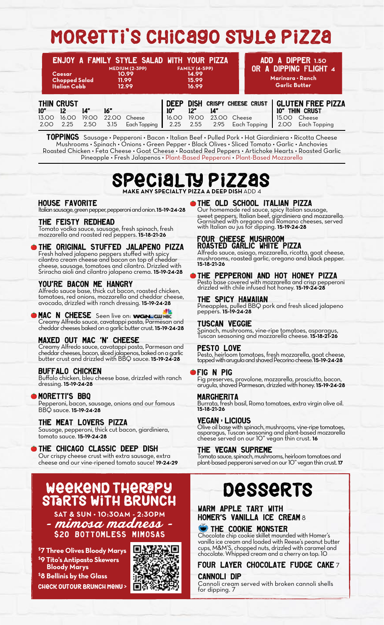## MORETTI'S CHICAGO STYLE PIZZA

| <b>Caesar</b><br><b>Chopped Salad</b><br><b>Italian Cobb</b> |                                                         | MEDIUM (2-3PP)<br>10.99<br>11.99<br>12.99 |                      | ENJOY A FAMILY STYLE SALAD WITH YOUR PIZZA<br>FAMILY (4-5PP)<br>14.99<br>15.99<br>16.99 |                                     |                      |                                                         | ADD A DIPPER 1.50<br>OR A DIPPING FLIGHT 4<br>Marinara • Ranch<br><b>Garlic Butter</b> |              |                      |                                                                         |  |
|--------------------------------------------------------------|---------------------------------------------------------|-------------------------------------------|----------------------|-----------------------------------------------------------------------------------------|-------------------------------------|----------------------|---------------------------------------------------------|----------------------------------------------------------------------------------------|--------------|----------------------|-------------------------------------------------------------------------|--|
| 10"<br>13.00<br>2.00                                         | <b>THIN CRUST</b><br>$12 \overline{ }$<br>16.00<br>2.25 | 14"<br>19.00<br>2.50                      | 16"<br>22.00<br>3.15 | Cheese<br>Each Topping                                                                  | <b>DEEP</b><br>10"<br>16.00<br>2.25 | 12"<br>19.00<br>2.55 | <b>DISH CRISPY CHEESE CRUST</b><br>14"<br>23.00<br>2.95 | Cheese                                                                                 | Each Topping | 10"<br>15.OO<br>2.00 | <b>GLUTEN FREE PIZZA</b><br>THIN CRUST<br>Cheese<br><b>Each Topping</b> |  |

TOPPINGS Sausage • Pepperoni • Bacon • Italian Beef • Pulled Pork • Hot Giardiniera • Ricotta Cheese Mushrooms • Spinach • Onions • Green Pepper • Black Olives • Sliced Tomato • Garlic • Anchovies Roasted Chicken • Feta Cheese • Goat Cheese • Roasted Red Peppers • Artichoke Hearts • Roasted Garlic Pineapple • Fresh Jalapenos • Plant-Based Pepperoni • Plant-Based Mozzarella

## Specialty Pizzas **MAKE ANY SPECIALTY PIZZA A DEEP DISH** ADD 4

#### HOUSE FAVORITE

Italian sausage, green pepper, pepperoni and onion. **15•19•24•28**

#### THE FEISTY REDHEAD

Tomato vodka sauce, sausage, fresh spinach, fresh mozzarella and roasted red peppers. **15•18•21•26**

#### THE ORIGINAL STUFFED JALAPENO PIZZA

Fresh halved jalapeno peppers stuffed with spicy cilantro cream cheese and bacon on top of cheddar cheese, sausage, tomatoes and cilantro. Drizzled with Sriracha aioli and cilantro jalapeno crema. **15•19•24•28**

#### YOU'RE BACON ME HANGRY

Alfredo sauce base, thick cut bacon, roasted chicken, tomatoes, red onions, mozzarella and cheddar cheese, avocado, drizzled with ranch dressing. **15•19•24•28**

#### MAC N CHEESE Seen live on:

Creamy Alfredo sauce, cavatappi pasta, Parmesan and cheddar cheeses baked on a garlic butter crust. **15•19•24•28**

#### MAXED OUT MAC 'N' CHEESE

Creamy Alfredo sauce, cavatappi pasta, Parmesan and cheddar cheeses, bacon, sliced jalapenos, baked on a garlic butter crust and drizzled with BBQ sauce. **15•19•24•28**

#### BUFFALO CHICKEN

Buffalo chicken, bleu cheese base, drizzled with ranch dressing. **15•19•24•28**

#### **MORETTI'S BBQ**

Pepperoni, bacon, sausage, onions and our famous BBQ sauce. **15•19•24•28**

#### THE MEAT LOVERS PIZZA

Sausage, pepperoni, thick cut bacon, giardiniera, tomato sauce. **15•19•24•28**

#### THE CHICAGO CLASSIC DEEP DISH

Our crispy cheese crust with extra sausage, extra cheese and our vine-ripened tomato sauce! **19•24•29**

# WEEKEND THERAPY DESSERTS

**SAT & SUN • 10:30AM - 2:30PM**

- mimosa madness - \$20 BOTTOMLESS MIMOSAS

**\$ 7 Three Olives Bloody Marys \$ 9 Tito's Antipasto Skewers Bloody Marys**

**\$ 8 Bellinis by the Glass** CHECK OUTOUR BRUNCH MENU >



#### THE OLD SCHOOL ITALIAN PIZZA

Our homemade red sauce, spicy Italian sausage, sweet peppers, Italian beef, giardiniera and mozzarella. Garnished with oregano and Romano cheeses, served with Italian au jus for dipping. **15•19•24•28**

#### FOUR CHEESE MUSHROOM ROASTED GARLIC WHITE PIZZA

Alfredo sauce, asiago, mozzarella, ricotta, goat cheese, mushrooms, roasted garlic, oregano and black pepper. **15•18•21•26**

#### THE PEPPERONI AND HOT HONEY PIZZA

Pesto base covered with mozzarella and crisp pepperoni drizzled with chile infused hot honey. **15•19•24•28**

#### THE SPICY HAWAIIAN

Pineapples, pulled BBQ pork and fresh sliced jalapeno peppers. **15•19•24•28**

#### TUSCAN VEGGIE

Spinach, mushrooms, vine-ripe tomatoes, asparagus, Tuscan seasoning and mozzarella cheese. **15•18•21•26**

#### PESTO LOVE

Pesto, heirloom tomatoes, fresh mozzarella, goat cheese, topped with arugula and shaved Pecorino cheese. **15•19•24•28**

#### FIG N PIG

Fig preserves, provolone, mozzarella, prosciutto, bacon, arugula, shaved Parmesan, drizzled with honey. **15•19•24•28**

#### MARGHERITA

Burrata, fresh basil, Roma tomatoes, extra virgin olive oil. **15•18•21•26**

#### VEGAN - LICIOUS

Olive oil base with spinach, mushrooms, vine-ripe tomatoes, asparagus, Tuscan seasoning and plant-based mozzarella cheese served on our 10" vegan thin crust. **16**

#### THE VEGAN SUPREME

Tomato sauce, spinach, mushrooms, heirloom tomatoes and plant-based pepperoni served on our 10" vegan thin crust. **17**

#### WARM APPLE TART WITH HOMER'S VANILLA ICE CREAM 8

THE COOKIE MONSTER

Chocolate chip cookie skillet mounded with Homer's vanilla ice cream and loaded with Reese's peanut butter cups, M&M'S, chopped nuts, drizzled with caramel and chocolate. Whipped cream and a cherry on top. 10

FOUR LAYER CHOCOLATE FUDGE CAKE 7

### CANNOLI DIP

Cannoli cream served with broken cannoli shells for dipping. 7